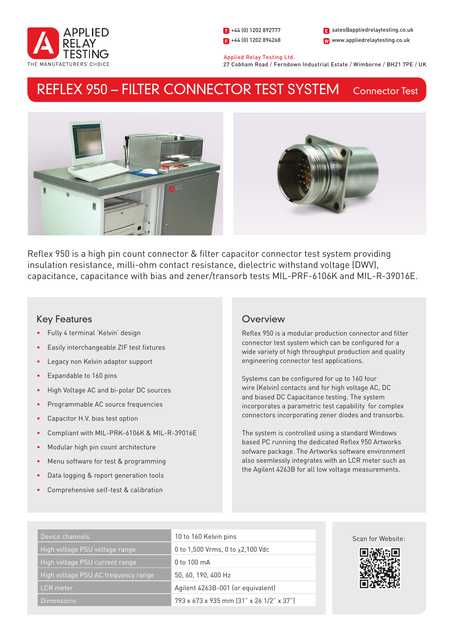

1 +44 (0) 1202 892777  $\Box$  +44 (0) 1202 894268 W www.appliedrelaytesting.co.uk sales@appliedrelaytesting.co.uk

 Applied Relay Testing Ltd. 27 Cobham Road / Ferndown Industrial Estate / Wimborne / BH21 7PE / UK

#### Connector Test REFLEX 950 – FILTER CONNECTOR TEST SYSTEM





Reflex 950 is a high pin count connector & filter capacitor connector test system providing insulation resistance, milli-ohm contact resistance, dielectric withstand voltage (DWV), capacitance, capacitance with bias and zener/transorb tests MIL-PRF-6106K and MIL-R-39016E.

# Key Features

- Fully 4 terminal 'Kelvin' design
- Easily interchangeable ZIF test fixtures
- Legacy non Kelvin adaptor support
- Expandable to 160 pins
- High Voltage AC and bi-polar DC sources
- Programmable AC source frequencies
- Capacitor H.V. bias test option
- Compliant with MIL-PRK-6106K & MIL-R-39016E
- Modular high pin count architecture
- Menu software for test & programming
- Data logging & report generation tools
- Comprehensive self-test & calibration

# **Overview**

Reflex 950 is a modular production connector and filter connector test system which can be configured for a wide variety of high throughput production and quality engineering connector test applications.

Systems can be configured for up to 160 four wire (Kelvin) contacts and for high voltage AC, DC and biased DC Capacitance testing. The system incorporates a parametric test capability for complex connectors incorporating zener diodes and transorbs.

The system is controlled using a standard Windows based PC running the dedicated Reflex 950 Artworks sofware package. The Artworks software environment also seemlessly integrates with an LCR meter such as the Agilent 4263B for all low voltage measurements.

| Device channels                     | 10 to 160 Kelvin pins                    |
|-------------------------------------|------------------------------------------|
| High voltage PSU voltage range      | 0 to 1,500 Vrms, 0 to $\pm 2,100$ Vdc    |
| High voltage PSU current range      | 0 to 100 mA                              |
| High voltage PSU AC frequency range | 50, 60, 190, 400 Hz                      |
| <b>LCR</b> meter                    | Agilent 4263B-001 (or equivalent)        |
| Dimensions                          | 793 x 673 x 935 mm (31" x 26 1/2" x 37") |



Scan for Website: